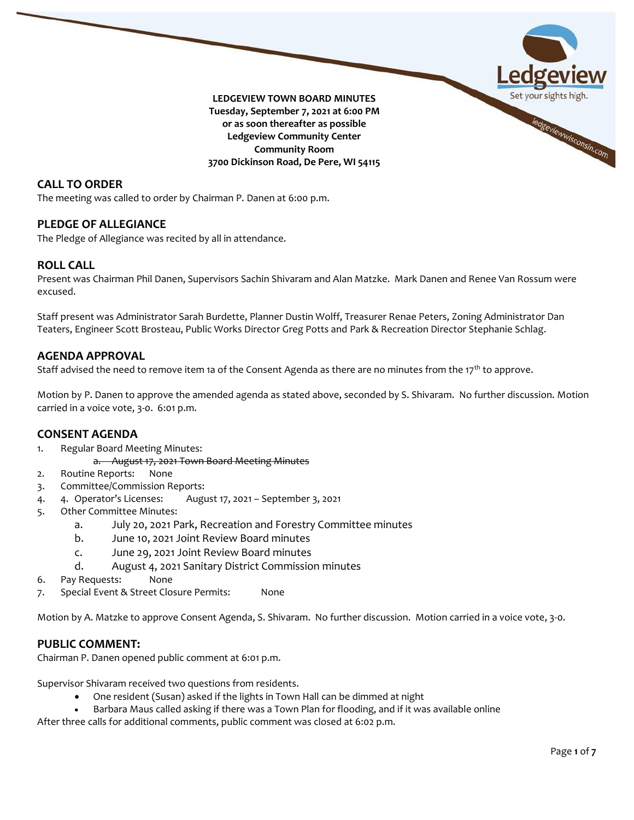

## **CALL TO ORDER**

The meeting was called to order by Chairman P. Danen at 6:00 p.m.

## **PLEDGE OF ALLEGIANCE**

The Pledge of Allegiance was recited by all in attendance.

## **ROLL CALL**

Present was Chairman Phil Danen, Supervisors Sachin Shivaram and Alan Matzke. Mark Danen and Renee Van Rossum were excused.

Staff present was Administrator Sarah Burdette, Planner Dustin Wolff, Treasurer Renae Peters, Zoning Administrator Dan Teaters, Engineer Scott Brosteau, Public Works Director Greg Potts and Park & Recreation Director Stephanie Schlag.

#### **AGENDA APPROVAL**

Staff advised the need to remove item 1a of the Consent Agenda as there are no minutes from the 17<sup>th</sup> to approve.

Motion by P. Danen to approve the amended agenda as stated above, seconded by S. Shivaram. No further discussion. Motion carried in a voice vote, 3-0. 6:01 p.m.

## **CONSENT AGENDA**

- 1. Regular Board Meeting Minutes:
	- a. August 17, 2021 Town Board Meeting Minutes
- 2. Routine Reports: None
- 3. Committee/Commission Reports:
- 4. 4. Operator's Licenses: August 17, 2021 September 3, 2021
- 5. Other Committee Minutes:
	- a. July 20, 2021 Park, Recreation and Forestry Committee minutes
	- b. June 10, 2021 Joint Review Board minutes
	- c. June 29, 2021 Joint Review Board minutes
	- d. August 4, 2021 Sanitary District Commission minutes
- 6. Pay Requests: None
- 7. Special Event & Street Closure Permits: None

Motion by A. Matzke to approve Consent Agenda, S. Shivaram. No further discussion. Motion carried in a voice vote, 3-0.

## **PUBLIC COMMENT:**

Chairman P. Danen opened public comment at 6:01 p.m.

Supervisor Shivaram received two questions from residents.

- One resident (Susan) asked if the lights in Town Hall can be dimmed at night
- Barbara Maus called asking if there was a Town Plan for flooding, and if it was available online

After three calls for additional comments, public comment was closed at 6:02 p.m.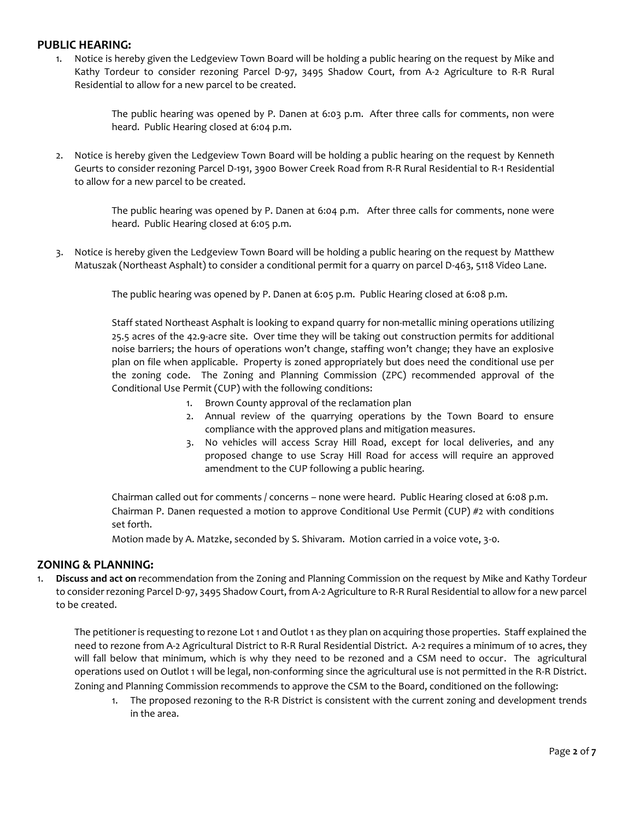# **PUBLIC HEARING:**

1. Notice is hereby given the Ledgeview Town Board will be holding a public hearing on the request by Mike and Kathy Tordeur to consider rezoning Parcel D-97, 3495 Shadow Court, from A-2 Agriculture to R-R Rural Residential to allow for a new parcel to be created.

> The public hearing was opened by P. Danen at 6:03 p.m. After three calls for comments, non were heard. Public Hearing closed at 6:04 p.m.

2. Notice is hereby given the Ledgeview Town Board will be holding a public hearing on the request by Kenneth Geurts to consider rezoning Parcel D-191, 3900 Bower Creek Road from R-R Rural Residential to R-1 Residential to allow for a new parcel to be created.

> The public hearing was opened by P. Danen at 6:04 p.m. After three calls for comments, none were heard. Public Hearing closed at 6:05 p.m.

3. Notice is hereby given the Ledgeview Town Board will be holding a public hearing on the request by Matthew Matuszak (Northeast Asphalt) to consider a conditional permit for a quarry on parcel D-463, 5118 Video Lane.

The public hearing was opened by P. Danen at 6:05 p.m. Public Hearing closed at 6:08 p.m.

Staff stated Northeast Asphalt is looking to expand quarry for non-metallic mining operations utilizing 25.5 acres of the 42.9-acre site. Over time they will be taking out construction permits for additional noise barriers; the hours of operations won't change, staffing won't change; they have an explosive plan on file when applicable. Property is zoned appropriately but does need the conditional use per the zoning code. The Zoning and Planning Commission (ZPC) recommended approval of the Conditional Use Permit (CUP) with the following conditions:

- 1. Brown County approval of the reclamation plan
- 2. Annual review of the quarrying operations by the Town Board to ensure compliance with the approved plans and mitigation measures.
- 3. No vehicles will access Scray Hill Road, except for local deliveries, and any proposed change to use Scray Hill Road for access will require an approved amendment to the CUP following a public hearing.

Chairman called out for comments / concerns – none were heard. Public Hearing closed at 6:08 p.m. Chairman P. Danen requested a motion to approve Conditional Use Permit (CUP)  $#2$  with conditions set forth.

Motion made by A. Matzke, seconded by S. Shivaram. Motion carried in a voice vote, 3-0.

## **ZONING & PLANNING:**

1. **Discuss and act on** recommendation from the Zoning and Planning Commission on the request by Mike and Kathy Tordeur to consider rezoning Parcel D-97, 3495 Shadow Court, from A-2 Agriculture to R-R Rural Residential to allow for a new parcel to be created.

The petitioner is requesting to rezone Lot 1 and Outlot 1 as they plan on acquiring those properties. Staff explained the need to rezone from A-2 Agricultural District to R-R Rural Residential District. A-2 requires a minimum of 10 acres, they will fall below that minimum, which is why they need to be rezoned and a CSM need to occur. The agricultural operations used on Outlot 1 will be legal, non-conforming since the agricultural use is not permitted in the R-R District. Zoning and Planning Commission recommends to approve the CSM to the Board, conditioned on the following:

1. The proposed rezoning to the R-R District is consistent with the current zoning and development trends in the area.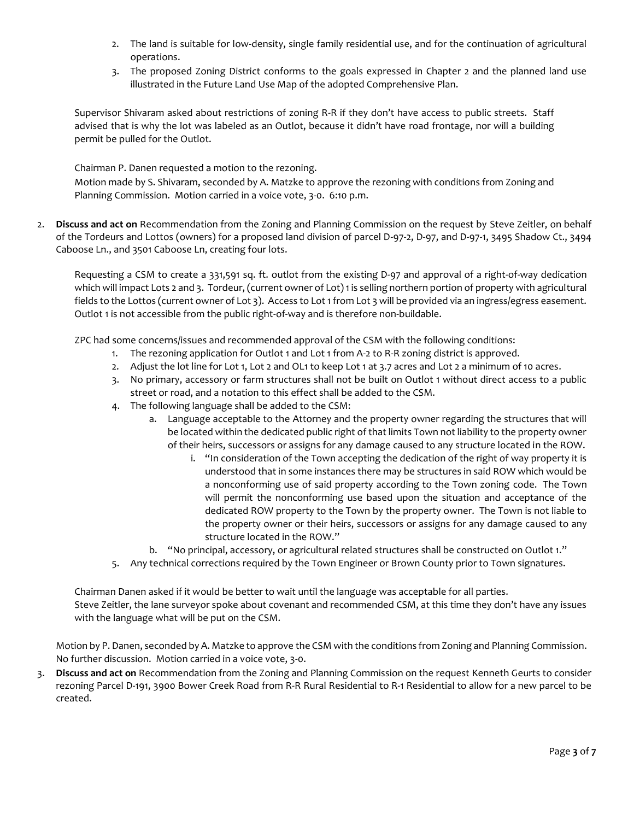- 2. The land is suitable for low-density, single family residential use, and for the continuation of agricultural operations.
- 3. The proposed Zoning District conforms to the goals expressed in Chapter 2 and the planned land use illustrated in the Future Land Use Map of the adopted Comprehensive Plan.

Supervisor Shivaram asked about restrictions of zoning R-R if they don't have access to public streets. Staff advised that is why the lot was labeled as an Outlot, because it didn't have road frontage, nor will a building permit be pulled for the Outlot.

Chairman P. Danen requested a motion to the rezoning. Motion made by S. Shivaram, seconded by A. Matzke to approve the rezoning with conditions from Zoning and Planning Commission. Motion carried in a voice vote, 3-0. 6:10 p.m.

2. **Discuss and act on** Recommendation from the Zoning and Planning Commission on the request by Steve Zeitler, on behalf of the Tordeurs and Lottos (owners) for a proposed land division of parcel D-97-2, D-97, and D-97-1, 3495 Shadow Ct., 3494 Caboose Ln., and 3501 Caboose Ln, creating four lots.

Requesting a CSM to create a 331,591 sq. ft. outlot from the existing D-97 and approval of a right-of-way dedication which will impact Lots 2 and 3. Tordeur, (current owner of Lot) 1 is selling northern portion of property with agricultural fields to the Lottos (current owner of Lot 3). Access to Lot 1 from Lot 3 will be provided via an ingress/egress easement. Outlot 1 is not accessible from the public right-of-way and is therefore non-buildable.

ZPC had some concerns/issues and recommended approval of the CSM with the following conditions:

- 1. The rezoning application for Outlot 1 and Lot 1 from A-2 to R-R zoning district is approved.
- 2. Adjust the lot line for Lot 1, Lot 2 and OL1 to keep Lot 1 at 3.7 acres and Lot 2 a minimum of 10 acres.
- 3. No primary, accessory or farm structures shall not be built on Outlot 1 without direct access to a public street or road, and a notation to this effect shall be added to the CSM.
- 4. The following language shall be added to the CSM:
	- a. Language acceptable to the Attorney and the property owner regarding the structures that will be located within the dedicated public right of that limits Town not liability to the property owner of their heirs, successors or assigns for any damage caused to any structure located in the ROW.
		- i. "In consideration of the Town accepting the dedication of the right of way property it is understood that in some instances there may be structures in said ROW which would be a nonconforming use of said property according to the Town zoning code. The Town will permit the nonconforming use based upon the situation and acceptance of the dedicated ROW property to the Town by the property owner. The Town is not liable to the property owner or their heirs, successors or assigns for any damage caused to any structure located in the ROW."
	- b. "No principal, accessory, or agricultural related structures shall be constructed on Outlot 1."
- 5. Any technical corrections required by the Town Engineer or Brown County prior to Town signatures.

Chairman Danen asked if it would be better to wait until the language was acceptable for all parties. Steve Zeitler, the lane surveyor spoke about covenant and recommended CSM, at this time they don't have any issues with the language what will be put on the CSM.

Motion by P. Danen, seconded by A. Matzke to approve the CSM with the conditions from Zoning and Planning Commission. No further discussion. Motion carried in a voice vote, 3-0.

3. **Discuss and act on** Recommendation from the Zoning and Planning Commission on the request Kenneth Geurts to consider rezoning Parcel D-191, 3900 Bower Creek Road from R-R Rural Residential to R-1 Residential to allow for a new parcel to be created.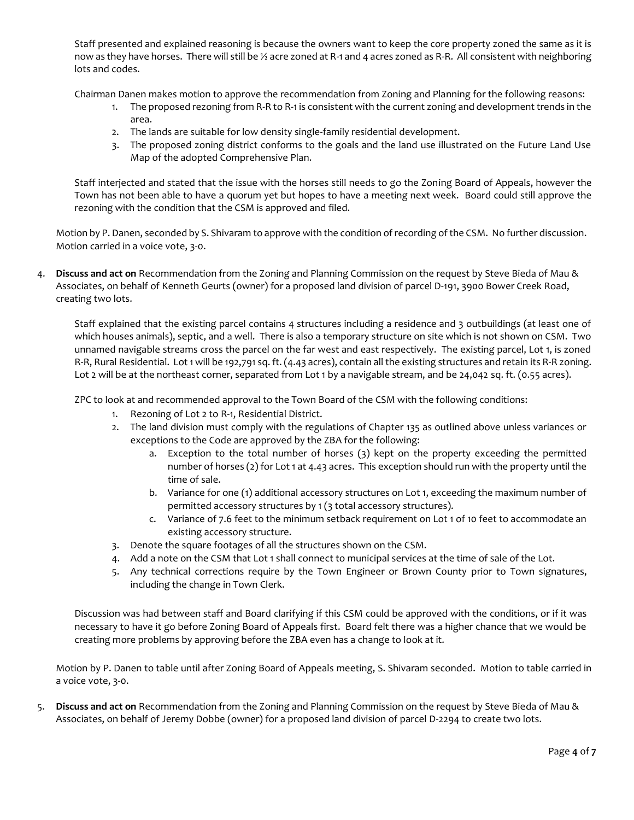Staff presented and explained reasoning is because the owners want to keep the core property zoned the same as it is now as they have horses. There will still be 1/2 acre zoned at R-1 and 4 acres zoned as R-R. All consistent with neighboring lots and codes.

Chairman Danen makes motion to approve the recommendation from Zoning and Planning for the following reasons:

- 1. The proposed rezoning from R-R to R-1 is consistent with the current zoning and development trends in the area.
- 2. The lands are suitable for low density single-family residential development.
- 3. The proposed zoning district conforms to the goals and the land use illustrated on the Future Land Use Map of the adopted Comprehensive Plan.

Staff interjected and stated that the issue with the horses still needs to go the Zoning Board of Appeals, however the Town has not been able to have a quorum yet but hopes to have a meeting next week. Board could still approve the rezoning with the condition that the CSM is approved and filed.

Motion by P. Danen, seconded by S. Shivaram to approve with the condition of recording of the CSM. No further discussion. Motion carried in a voice vote, 3-0.

4. **Discuss and act on** Recommendation from the Zoning and Planning Commission on the request by Steve Bieda of Mau & Associates, on behalf of Kenneth Geurts (owner) for a proposed land division of parcel D-191, 3900 Bower Creek Road, creating two lots.

Staff explained that the existing parcel contains 4 structures including a residence and 3 outbuildings (at least one of which houses animals), septic, and a well. There is also a temporary structure on site which is not shown on CSM. Two unnamed navigable streams cross the parcel on the far west and east respectively. The existing parcel, Lot 1, is zoned R-R, Rural Residential. Lot 1 will be 192,791 sq. ft. (4.43 acres), contain all the existing structures and retain its R-R zoning. Lot 2 will be at the northeast corner, separated from Lot 1 by a navigable stream, and be 24,042 sq. ft. (0.55 acres).

ZPC to look at and recommended approval to the Town Board of the CSM with the following conditions:

- 1. Rezoning of Lot 2 to R-1, Residential District.
- 2. The land division must comply with the regulations of Chapter 135 as outlined above unless variances or exceptions to the Code are approved by the ZBA for the following:
	- a. Exception to the total number of horses (3) kept on the property exceeding the permitted number of horses (2) for Lot 1 at 4.43 acres. This exception should run with the property until the time of sale.
	- b. Variance for one (1) additional accessory structures on Lot 1, exceeding the maximum number of permitted accessory structures by 1 (3 total accessory structures).
	- c. Variance of 7.6 feet to the minimum setback requirement on Lot 1 of 10 feet to accommodate an existing accessory structure.
- 3. Denote the square footages of all the structures shown on the CSM.
- 4. Add a note on the CSM that Lot 1 shall connect to municipal services at the time of sale of the Lot.
- 5. Any technical corrections require by the Town Engineer or Brown County prior to Town signatures, including the change in Town Clerk.

Discussion was had between staff and Board clarifying if this CSM could be approved with the conditions, or if it was necessary to have it go before Zoning Board of Appeals first. Board felt there was a higher chance that we would be creating more problems by approving before the ZBA even has a change to look at it.

Motion by P. Danen to table until after Zoning Board of Appeals meeting, S. Shivaram seconded. Motion to table carried in a voice vote, 3-0.

5. **Discuss and act on** Recommendation from the Zoning and Planning Commission on the request by Steve Bieda of Mau & Associates, on behalf of Jeremy Dobbe (owner) for a proposed land division of parcel D-2294 to create two lots.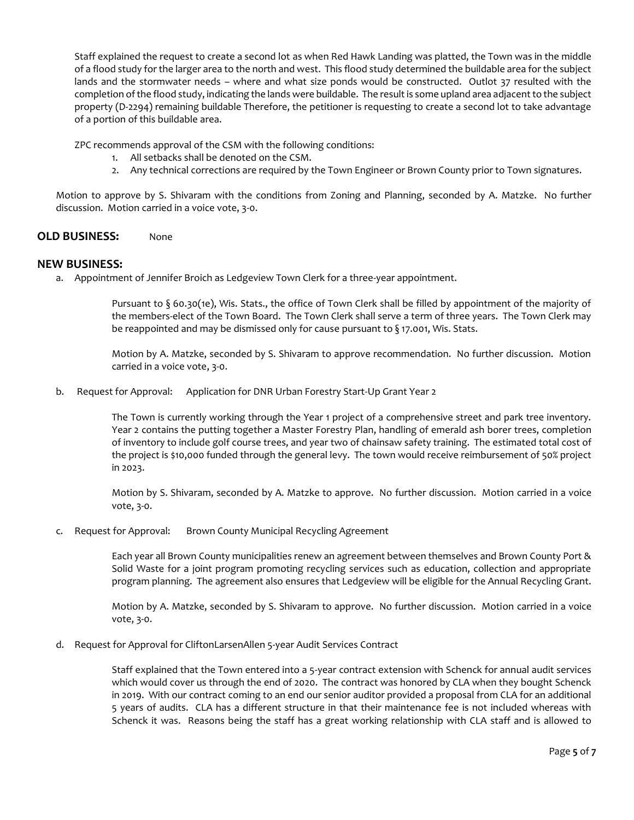Staff explained the request to create a second lot as when Red Hawk Landing was platted, the Town was in the middle of a flood study for the larger area to the north and west. This flood study determined the buildable area for the subject lands and the stormwater needs – where and what size ponds would be constructed. Outlot 37 resulted with the completion of the flood study, indicating the lands were buildable. The result is some upland area adjacent to the subject property (D-2294) remaining buildable Therefore, the petitioner is requesting to create a second lot to take advantage of a portion of this buildable area.

ZPC recommends approval of the CSM with the following conditions:

- 1. All setbacks shall be denoted on the CSM.
- 2. Any technical corrections are required by the Town Engineer or Brown County prior to Town signatures.

Motion to approve by S. Shivaram with the conditions from Zoning and Planning, seconded by A. Matzke. No further discussion. Motion carried in a voice vote, 3-0.

## **OLD BUSINESS:** None

#### **NEW BUSINESS:**

a. Appointment of Jennifer Broich as Ledgeview Town Clerk for a three-year appointment.

Pursuant to § 60.30(1e), Wis. Stats., the office of Town Clerk shall be filled by appointment of the majority of the members-elect of the Town Board. The Town Clerk shall serve a term of three years. The Town Clerk may be reappointed and may be dismissed only for cause pursuant to § 17.001, Wis. Stats.

Motion by A. Matzke, seconded by S. Shivaram to approve recommendation. No further discussion. Motion carried in a voice vote, 3-0.

b. Request for Approval: Application for DNR Urban Forestry Start-Up Grant Year 2

The Town is currently working through the Year 1 project of a comprehensive street and park tree inventory. Year 2 contains the putting together a Master Forestry Plan, handling of emerald ash borer trees, completion of inventory to include golf course trees, and year two of chainsaw safety training. The estimated total cost of the project is \$10,000 funded through the general levy. The town would receive reimbursement of 50% project in 2023.

Motion by S. Shivaram, seconded by A. Matzke to approve. No further discussion. Motion carried in a voice vote, 3-0.

c. Request for Approval: Brown County Municipal Recycling Agreement

Each year all Brown County municipalities renew an agreement between themselves and Brown County Port & Solid Waste for a joint program promoting recycling services such as education, collection and appropriate program planning. The agreement also ensures that Ledgeview will be eligible for the Annual Recycling Grant.

Motion by A. Matzke, seconded by S. Shivaram to approve. No further discussion. Motion carried in a voice vote, 3-0.

d. Request for Approval for CliftonLarsenAllen 5-year Audit Services Contract

Staff explained that the Town entered into a 5-year contract extension with Schenck for annual audit services which would cover us through the end of 2020. The contract was honored by CLA when they bought Schenck in 2019. With our contract coming to an end our senior auditor provided a proposal from CLA for an additional 5 years of audits. CLA has a different structure in that their maintenance fee is not included whereas with Schenck it was. Reasons being the staff has a great working relationship with CLA staff and is allowed to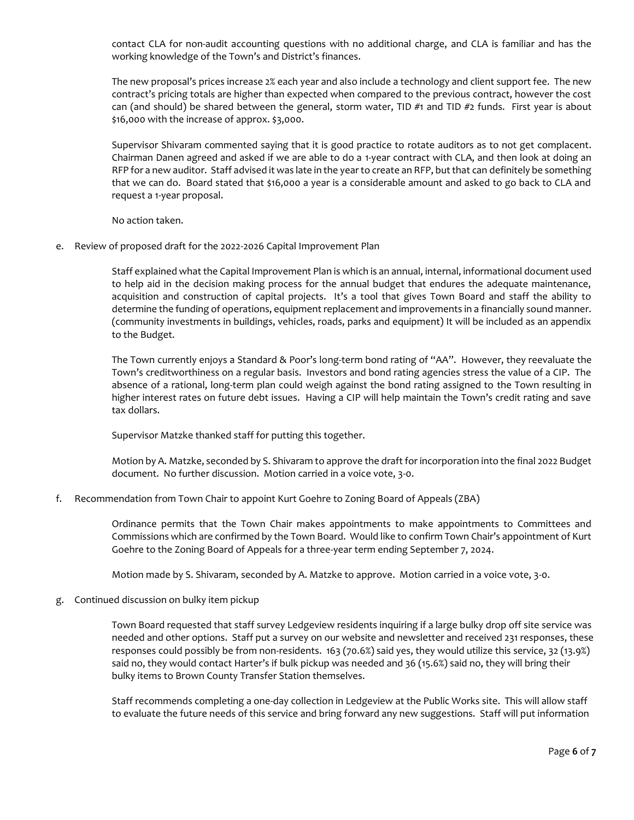contact CLA for non-audit accounting questions with no additional charge, and CLA is familiar and has the working knowledge of the Town's and District's finances.

The new proposal's prices increase 2% each year and also include a technology and client support fee. The new contract's pricing totals are higher than expected when compared to the previous contract, however the cost can (and should) be shared between the general, storm water, TID #1 and TID #2 funds. First year is about \$16,000 with the increase of approx. \$3,000.

Supervisor Shivaram commented saying that it is good practice to rotate auditors as to not get complacent. Chairman Danen agreed and asked if we are able to do a 1-year contract with CLA, and then look at doing an RFP for a new auditor. Staff advised it was late in the year to create an RFP, but that can definitely be something that we can do. Board stated that \$16,000 a year is a considerable amount and asked to go back to CLA and request a 1-year proposal.

No action taken.

e. Review of proposed draft for the 2022-2026 Capital Improvement Plan

Staff explained what the Capital Improvement Plan is which is an annual, internal, informational document used to help aid in the decision making process for the annual budget that endures the adequate maintenance, acquisition and construction of capital projects. It's a tool that gives Town Board and staff the ability to determine the funding of operations, equipment replacement and improvements in a financially sound manner. (community investments in buildings, vehicles, roads, parks and equipment) It will be included as an appendix to the Budget.

The Town currently enjoys a Standard & Poor's long-term bond rating of "AA". However, they reevaluate the Town's creditworthiness on a regular basis. Investors and bond rating agencies stress the value of a CIP. The absence of a rational, long-term plan could weigh against the bond rating assigned to the Town resulting in higher interest rates on future debt issues. Having a CIP will help maintain the Town's credit rating and save tax dollars.

Supervisor Matzke thanked staff for putting this together.

Motion by A. Matzke, seconded by S. Shivaram to approve the draft for incorporation into the final 2022 Budget document. No further discussion. Motion carried in a voice vote, 3-0.

f. Recommendation from Town Chair to appoint Kurt Goehre to Zoning Board of Appeals (ZBA)

Ordinance permits that the Town Chair makes appointments to make appointments to Committees and Commissions which are confirmed by the Town Board. Would like to confirm Town Chair's appointment of Kurt Goehre to the Zoning Board of Appeals for a three-year term ending September 7, 2024.

Motion made by S. Shivaram, seconded by A. Matzke to approve. Motion carried in a voice vote, 3-0.

g. Continued discussion on bulky item pickup

Town Board requested that staff survey Ledgeview residents inquiring if a large bulky drop off site service was needed and other options. Staff put a survey on our website and newsletter and received 231 responses, these responses could possibly be from non-residents. 163 (70.6%) said yes, they would utilize this service, 32 (13.9%) said no, they would contact Harter's if bulk pickup was needed and 36 (15.6%) said no, they will bring their bulky items to Brown County Transfer Station themselves.

Staff recommends completing a one-day collection in Ledgeview at the Public Works site. This will allow staff to evaluate the future needs of this service and bring forward any new suggestions. Staff will put information